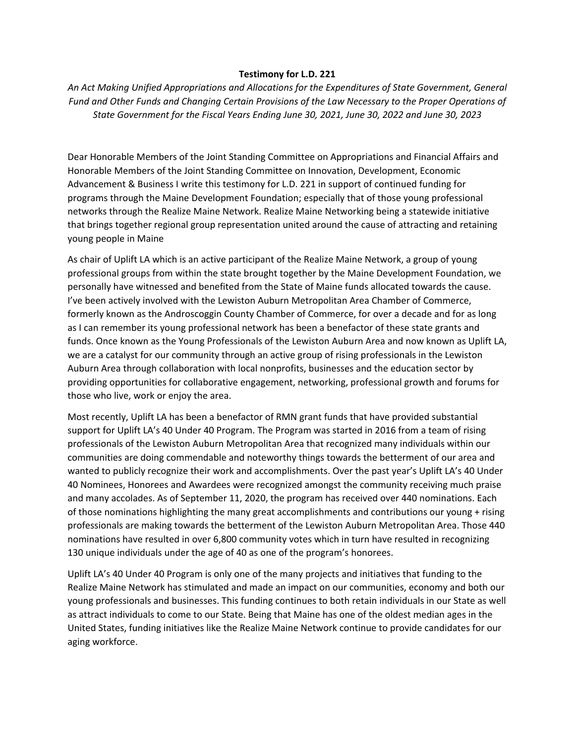## **Testimony for L.D. 221**

*An Act Making Unified Appropriations and Allocations for the Expenditures of State Government, General Fund and Other Funds and Changing Certain Provisions of the Law Necessary to the Proper Operations of State Government for the Fiscal Years Ending June 30, 2021, June 30, 2022 and June 30, 2023*

Dear Honorable Members of the Joint Standing Committee on Appropriations and Financial Affairs and Honorable Members of the Joint Standing Committee on Innovation, Development, Economic Advancement & Business I write this testimony for L.D. 221 in support of continued funding for programs through the Maine Development Foundation; especially that of those young professional networks through the Realize Maine Network. Realize Maine Networking being a statewide initiative that brings together regional group representation united around the cause of attracting and retaining young people in Maine

As chair of Uplift LA which is an active participant of the Realize Maine Network, a group of young professional groups from within the state brought together by the Maine Development Foundation, we personally have witnessed and benefited from the State of Maine funds allocated towards the cause. I've been actively involved with the Lewiston Auburn Metropolitan Area Chamber of Commerce, formerly known as the Androscoggin County Chamber of Commerce, for over a decade and for as long as I can remember its young professional network has been a benefactor of these state grants and funds. Once known as the Young Professionals of the Lewiston Auburn Area and now known as Uplift LA, we are a catalyst for our community through an active group of rising professionals in the Lewiston Auburn Area through collaboration with local nonprofits, businesses and the education sector by providing opportunities for collaborative engagement, networking, professional growth and forums for those who live, work or enjoy the area.

Most recently, Uplift LA has been a benefactor of RMN grant funds that have provided substantial support for Uplift LA's 40 Under 40 Program. The Program was started in 2016 from a team of rising professionals of the Lewiston Auburn Metropolitan Area that recognized many individuals within our communities are doing commendable and noteworthy things towards the betterment of our area and wanted to publicly recognize their work and accomplishments. Over the past year's Uplift LA's 40 Under 40 Nominees, Honorees and Awardees were recognized amongst the community receiving much praise and many accolades. As of September 11, 2020, the program has received over 440 nominations. Each of those nominations highlighting the many great accomplishments and contributions our young + rising professionals are making towards the betterment of the Lewiston Auburn Metropolitan Area. Those 440 nominations have resulted in over 6,800 community votes which in turn have resulted in recognizing 130 unique individuals under the age of 40 as one of the program's honorees.

Uplift LA's 40 Under 40 Program is only one of the many projects and initiatives that funding to the Realize Maine Network has stimulated and made an impact on our communities, economy and both our young professionals and businesses. This funding continues to both retain individuals in our State as well as attract individuals to come to our State. Being that Maine has one of the oldest median ages in the United States, funding initiatives like the Realize Maine Network continue to provide candidates for our aging workforce.